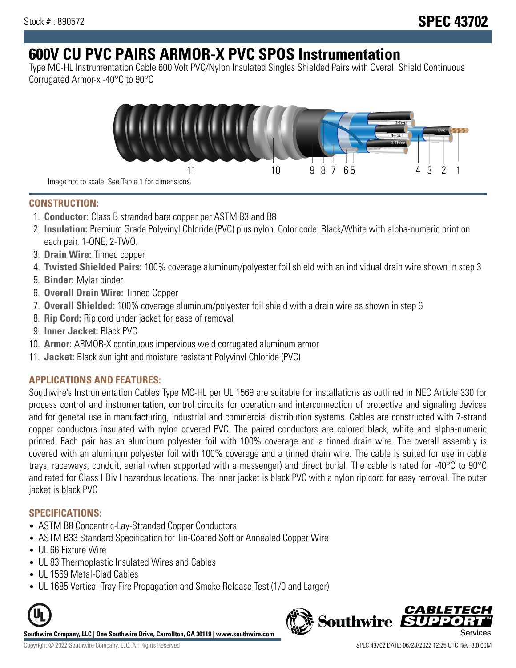# **600V CU PVC PAIRS ARMOR-X PVC SPOS Instrumentation**

Type MC-HL Instrumentation Cable 600 Volt PVC/Nylon Insulated Singles Shielded Pairs with Overall Shield Continuous Corrugated Armor-x -40°C to 90°C



**CONSTRUCTION:**

- 1. **Conductor:** Class B stranded bare copper per ASTM B3 and B8
- 2. **Insulation:** Premium Grade Polyvinyl Chloride (PVC) plus nylon. Color code: Black/White with alpha-numeric print on each pair. 1-ONE, 2-TWO.
- 3. **Drain Wire:** Tinned copper
- 4. **Twisted Shielded Pairs:** 100% coverage aluminum/polyester foil shield with an individual drain wire shown in step 3
- 5. **Binder:** Mylar binder
- 6. **Overall Drain Wire:** Tinned Copper
- 7. **Overall Shielded:** 100% coverage aluminum/polyester foil shield with a drain wire as shown in step 6
- 8. **Rip Cord:** Rip cord under jacket for ease of removal
- 9. **Inner Jacket:** Black PVC
- 10. **Armor:** ARMOR-X continuous impervious weld corrugated aluminum armor
- 11. **Jacket:** Black sunlight and moisture resistant Polyvinyl Chloride (PVC)

# **APPLICATIONS AND FEATURES:**

Southwire's Instrumentation Cables Type MC-HL per UL 1569 are suitable for installations as outlined in NEC Article 330 for process control and instrumentation, control circuits for operation and interconnection of protective and signaling devices and for general use in manufacturing, industrial and commercial distribution systems. Cables are constructed with 7-strand copper conductors insulated with nylon covered PVC. The paired conductors are colored black, white and alpha-numeric printed. Each pair has an aluminum polyester foil with 100% coverage and a tinned drain wire. The overall assembly is covered with an aluminum polyester foil with 100% coverage and a tinned drain wire. The cable is suited for use in cable trays, raceways, conduit, aerial (when supported with a messenger) and direct burial. The cable is rated for -40°C to 90°C and rated for Class I Div I hazardous locations. The inner jacket is black PVC with a nylon rip cord for easy removal. The outer jacket is black PVC

## **SPECIFICATIONS:**

- ASTM B8 Concentric-Lay-Stranded Copper Conductors
- ASTM B33 Standard Specification for Tin-Coated Soft or Annealed Copper Wire
- UL 66 Fixture Wire
- UL 83 Thermoplastic Insulated Wires and Cables
- UL 1569 Metal-Clad Cables
- UL 1685 Vertical-Tray Fire Propagation and Smoke Release Test (1/0 and Larger)



**Southwire Company, LLC | One Southwire Drive, Carrollton, GA 30119 | www.southwire.com**